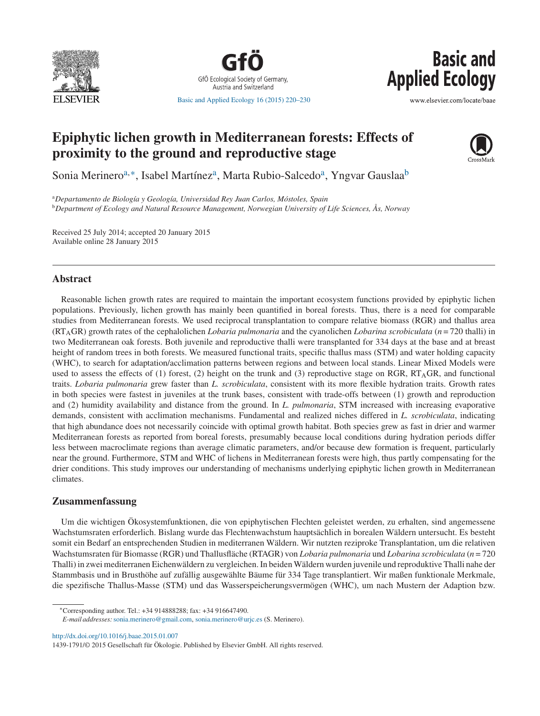



**Basic and Applied Ecology** 

www.elsevier.com/locate/baae

# **Epiphytic lichen growth in Mediterranean forests: Effects of proximity to the ground and reproductive stage**



Sonia Merinero<sup>a,∗</sup>, Isabel Martínez<sup>a</sup>, Marta Rubio-Salcedo<sup>a</sup>, Yngvar Gauslaa<sup>b</sup>

<sup>a</sup>*Departamento de Biología y Geología, Universidad Rey Juan Carlos, Móstoles, Spain* <sup>b</sup>*Department of Ecology and Natural Resource Management, Norwegian University of Life Sciences, Ås, Norway*

Received 25 July 2014; accepted 20 January 2015 Available online 28 January 2015

## **Abstract**

Reasonable lichen growth rates are required to maintain the important ecosystem functions provided by epiphytic lichen populations. Previously, lichen growth has mainly been quantified in boreal forests. Thus, there is a need for comparable studies from Mediterranean forests. We used reciprocal transplantation to compare relative biomass (RGR) and thallus area (RTAGR) growth rates of the cephalolichen *Lobaria pulmonaria* and the cyanolichen *Lobarina scrobiculata* (*n* = 720 thalli) in two Mediterranean oak forests. Both juvenile and reproductive thalli were transplanted for 334 days at the base and at breast height of random trees in both forests. We measured functional traits, specific thallus mass (STM) and water holding capacity (WHC), to search for adaptation/acclimation patterns between regions and between local stands. Linear Mixed Models were used to assess the effects of (1) forest, (2) height on the trunk and (3) reproductive stage on RGR,  $RT_AGR$ , and functional traits. *Lobaria pulmonaria* grew faster than *L. scrobiculata*, consistent with its more flexible hydration traits. Growth rates in both species were fastest in juveniles at the trunk bases, consistent with trade-offs between (1) growth and reproduction and (2) humidity availability and distance from the ground. In *L. pulmonaria*, STM increased with increasing evaporative demands, consistent with acclimation mechanisms. Fundamental and realized niches differed in *L. scrobiculata*, indicating that high abundance does not necessarily coincide with optimal growth habitat. Both species grew as fast in drier and warmer Mediterranean forests as reported from boreal forests, presumably because local conditions during hydration periods differ less between macroclimate regions than average climatic parameters, and/or because dew formation is frequent, particularly near the ground. Furthermore, STM and WHC of lichens in Mediterranean forests were high, thus partly compensating for the drier conditions. This study improves our understanding of mechanisms underlying epiphytic lichen growth in Mediterranean climates.

# **Zusammenfassung**

Um die wichtigen Ökosystemfunktionen, die von epiphytischen Flechten geleistet werden, zu erhalten, sind angemessene Wachstumsraten erforderlich. Bislang wurde das Flechtenwachstum hauptsächlich in borealen Wäldern untersucht. Es besteht somit ein Bedarf an entsprechenden Studien in mediterranen Wäldern. Wir nutzten reziproke Transplantation, um die relativen Wachstumsraten für Biomasse (RGR) und Thallusfläche (RTAGR) von *Lobaria pulmonaria* und *Lobarina scrobiculata* (*n* = 720 Thalli) in zwei mediterranen Eichenwäldern zu vergleichen. In beiden Wäldern wurden juvenile und reproduktive Thalli nahe der Stammbasis und in Brusthöhe auf zufällig ausgewählte Bäume für 334 Tage transplantiert. Wir maßen funktionale Merkmale, die spezifische Thallus-Masse (STM) und das Wasserspeicherungsvermögen (WHC), um nach Mustern der Adaption bzw.

<sup>∗</sup>Corresponding author. Tel.: +34 914888288; fax: +34 916647490.

*E-mail addresses:*[sonia.merinero@gmail.com,](mailto:sonia.merinero@gmail.com) [sonia.merinero@urjc.es](mailto:sonia.merinero@urjc.es) (S. Merinero).

[http://dx.doi.org/10.1016/j.baae.2015.01.007](dx.doi.org/10.1016/j.baae.2015.01.007)

<sup>1439-1791/©</sup> 2015 Gesellschaft für Ökologie. Published by Elsevier GmbH. All rights reserved.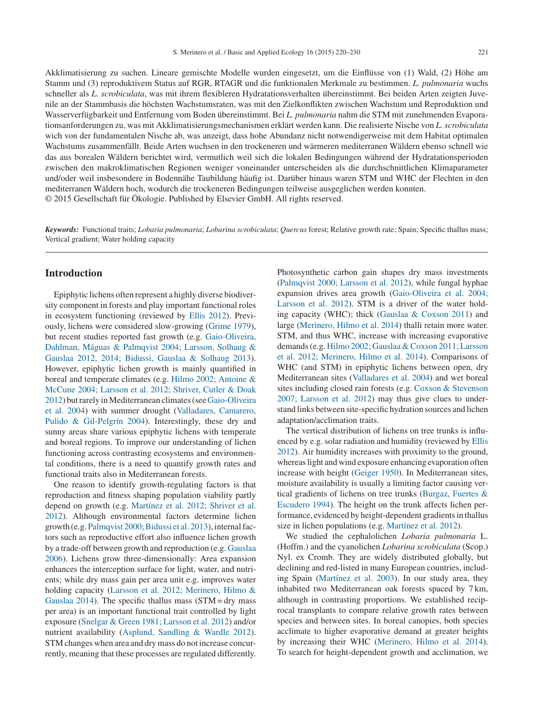Akklimatisierung zu suchen. Lineare gemischte Modelle wurden eingesetzt, um die Einflüsse von (1) Wald, (2) Höhe am Stamm und (3) reproduktivem Status auf RGR, RTAGR und die funktionalen Merkmale zu bestimmen. *L. pulmonaria* wuchs schneller als *L. scrobiculata*, was mit ihrem flexibleren Hydratationsverhalten übereinstimmt. Bei beiden Arten zeigten Juvenile an der Stammbasis die höchsten Wachstumsraten, was mit den Zielkonflikten zwischen Wachstum und Reproduktion und Wasserverfügbarkeit und Entfernung vom Boden übereinstimmt. Bei *L. pulmonaria* nahm die STM mit zunehmenden Evaporationsanforderungen zu, was mit Akklimatisierungsmechanismen erklärt werden kann. Die realisierte Nische von *L.scrobiculata* wich von der fundamentalen Nische ab, was anzeigt, dass hohe Abundanz nicht notwendigerweise mit dem Habitat optimalen Wachstums zusammenfällt. Beide Arten wuchsen in den trockeneren und wärmeren mediterranen Wäldern ebenso schnell wie das aus borealen Wäldern berichtet wird, vermutlich weil sich die lokalen Bedingungen während der Hydratationsperioden zwischen den makroklimatischen Regionen weniger voneinander unterscheiden als die durchschnittlichen Klimaparameter und/oder weil insbesondere in Bodennähe Taubildung häufig ist. Darüber hinaus waren STM und WHC der Flechten in den mediterranen Wäldern hoch, wodurch die trockeneren Bedingungen teilweise ausgeglichen werden konnten. © 2015 Gesellschaft für Ökologie. Published by Elsevier GmbH. All rights reserved.

*Keywords:* Functional traits; *Lobaria pulmonaria*; *Lobarina scrobiculata*; *Quercus* forest; Relative growth rate; Spain; Specific thallus mass; Vertical gradient; Water holding capacity

## **Introduction**

Epiphytic lichens often represent a highly diverse biodiversity component in forests and play important functional roles in ecosystem functioning (reviewed by [Ellis](#page-9-0) [2012\).](#page-9-0) Previously, lichens were considered slow-growing ([Grime](#page-10-0) [1979\),](#page-10-0) but recent studies reported fast growth (e.g. [Gaio-Oliveira,](#page-10-0) [Dahlman,](#page-10-0) [Máguas](#page-10-0) [&](#page-10-0) [Palmqvist](#page-10-0) [2004;](#page-10-0) [Larsson,](#page-10-0) [Solhaug](#page-10-0) [&](#page-10-0) [Gauslaa](#page-10-0) [2012,](#page-10-0) [2014;](#page-10-0) [Bidussi,](#page-10-0) [Gauslaa](#page-10-0) [&](#page-10-0) [Solhaug](#page-10-0) [2013\).](#page-10-0) However, epiphytic lichen growth is mainly quantified in boreal and temperate climates (e.g. [Hilmo](#page-10-0) [2002;](#page-10-0) [Antoine](#page-10-0) [&](#page-10-0) [McCune](#page-10-0) [2004;](#page-10-0) [Larsson](#page-10-0) et [al.](#page-10-0) [2012;](#page-10-0) [Shriver,](#page-10-0) [Cutler](#page-10-0) [&](#page-10-0) [Doak](#page-10-0) [2012\)](#page-10-0) but rarely in Mediterranean climates (see [Gaio-Oliveira](#page-10-0) et [al.](#page-10-0) [2004\)](#page-10-0) with summer drought ([Valladares,](#page-10-0) [Camarero,](#page-10-0) [Pulido](#page-10-0) [&](#page-10-0) [Gil-Pelgrín](#page-10-0) [2004\).](#page-10-0) Interestingly, these dry and sunny areas share various epiphytic lichens with temperate and boreal regions. To improve our understanding of lichen functioning across contrasting ecosystems and environmental conditions, there is a need to quantify growth rates and functional traits also in Mediterranean forests.

One reason to identify growth-regulating factors is that reproduction and fitness shaping population viability partly depend on growth (e.g. [Martínez](#page-10-0) et [al.](#page-10-0) [2012;](#page-10-0) [Shriver](#page-10-0) et [al.](#page-10-0) [2012\).](#page-10-0) Although environmental factors determine lichen growth (e.g. [Palmqvist](#page-10-0) 2000; Bidussi et [al.](#page-10-0) [2013\),](#page-10-0) internal factors such as reproductive effort also influence lichen growth by a trade-off between growth and reproduction (e.g. [Gauslaa](#page-10-0) [2006\).](#page-10-0) Lichens grow three-dimensionally: Area expansion enhances the interception surface for light, water, and nutrients; while dry mass gain per area unit e.g. improves water holding capacity ([Larsson](#page-10-0) et [al.](#page-10-0) [2012;](#page-10-0) [Merinero,](#page-10-0) [Hilmo](#page-10-0) [&](#page-10-0) [Gauslaa](#page-10-0) [2014\).](#page-10-0) The specific thallus mass  $(STM = dry$  mass per area) is an important functional trait controlled by light exposure ([Snelgar](#page-10-0) [&](#page-10-0) [Green](#page-10-0) [1981;](#page-10-0) [Larsson](#page-10-0) et [al.](#page-10-0) [2012\)](#page-10-0) and/or nutrient availability [\(Asplund,](#page-9-0) [Sandling](#page-9-0) [&](#page-9-0) [Wardle](#page-9-0) [2012\).](#page-9-0) STM changes when area and dry mass do not increase concurrently, meaning that these processes are regulated differently. Photosynthetic carbon gain shapes dry mass investments ([Palmqvist](#page-10-0) [2000;](#page-10-0) [Larsson](#page-10-0) et [al.](#page-10-0) [2012\),](#page-10-0) while fungal hyphae expansion drives area growth [\(Gaio-Oliveira](#page-10-0) et [al.](#page-10-0) [2004;](#page-10-0) [Larsson](#page-10-0) et [al.](#page-10-0) [2012\).](#page-10-0) STM is a driver of the water holding capacity (WHC); thick [\(Gauslaa](#page-10-0) [&](#page-10-0) [Coxson](#page-10-0) [2011\)](#page-10-0) and large [\(Merinero,](#page-10-0) [Hilmo](#page-10-0) et [al.](#page-10-0) [2014\)](#page-10-0) thalli retain more water. STM, and thus WHC, increase with increasing evaporative demands(e.g. [Hilmo](#page-10-0) [2002;](#page-10-0) [Gauslaa](#page-10-0) [&](#page-10-0) [Coxson](#page-10-0) [2011;](#page-10-0) [Larsson](#page-10-0) et [al.](#page-10-0) [2012;](#page-10-0) [Merinero,](#page-10-0) [Hilmo](#page-10-0) et [al.](#page-10-0) [2014\).](#page-10-0) Comparisons of WHC (and STM) in epiphytic lichens between open, dry Mediterranean sites ([Valladares](#page-10-0) et [al.](#page-10-0) [2004\)](#page-10-0) and wet boreal sites including closed rain forests (e.g. [Coxson](#page-9-0) [&](#page-9-0) [Stevenson](#page-9-0) [2007;](#page-9-0) [Larsson](#page-9-0) et [al.](#page-9-0) [2012\)](#page-9-0) may thus give clues to understand links between site-specific hydration sources and lichen adaptation/acclimation traits.

The vertical distribution of lichens on tree trunks is influenced by e.g. solar radiation and humidity (reviewed by [Ellis](#page-9-0) [2012\).](#page-9-0) Air humidity increases with proximity to the ground, whereas light and wind exposure enhancing evaporation often increase with height [\(Geiger](#page-10-0) [1950\).](#page-10-0) In Mediterranean sites, moisture availability is usually a limiting factor causing vertical gradients of lichens on tree trunks [\(Burgaz,](#page-9-0) [Fuertes](#page-9-0) [&](#page-9-0) [Escudero](#page-9-0) [1994\).](#page-9-0) The height on the trunk affects lichen performance, evidenced by height-dependent gradients in thallus size in lichen populations (e.g. [Martínez](#page-10-0) et [al.](#page-10-0) [2012\).](#page-10-0)

We studied the cephalolichen *Lobaria pulmonaria* L. (Hoffm.) and the cyanolichen *Lobarina scrobiculata* (Scop.) Nyl. ex Cromb. They are widely distributed globally, but declining and red-listed in many European countries, including Spain ([Martínez](#page-10-0) et [al.](#page-10-0) [2003\).](#page-10-0) In our study area, they inhabited two Mediterranean oak forests spaced by 7 km, although in contrasting proportions. We established reciprocal transplants to compare relative growth rates between species and between sites. In boreal canopies, both species acclimate to higher evaporative demand at greater heights by increasing their WHC [\(Merinero,](#page-10-0) [Hilmo](#page-10-0) et [al.](#page-10-0) [2014\).](#page-10-0) To search for height-dependent growth and acclimation, we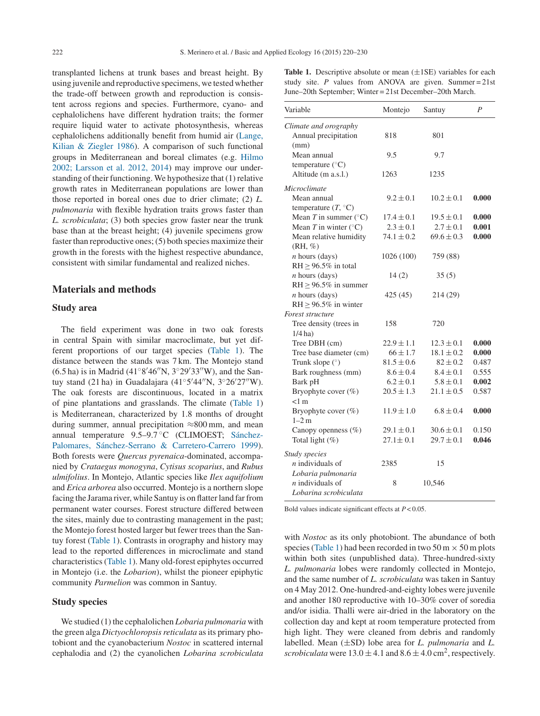<span id="page-2-0"></span>transplanted lichens at trunk bases and breast height. By using juvenile and reproductive specimens, we tested whether the trade-off between growth and reproduction is consistent across regions and species. Furthermore, cyano- and cephalolichens have different hydration traits; the former require liquid water to activate photosynthesis, whereas cephalolichens additionally benefit from humid air [\(Lange,](#page-10-0) [Kilian](#page-10-0) [&](#page-10-0) [Ziegler](#page-10-0) [1986\).](#page-10-0) A comparison of such functional groups in Mediterranean and boreal climates (e.g. [Hilmo](#page-10-0) [2002;](#page-10-0) [Larsson](#page-10-0) et [al.](#page-10-0) [2012,](#page-10-0) [2014\)](#page-10-0) may improve our understanding of their functioning. We hypothesize that (1) relative growth rates in Mediterranean populations are lower than those reported in boreal ones due to drier climate; (2) *L. pulmonaria* with flexible hydration traits grows faster than *L. scrobiculata*; (3) both species grow faster near the trunk base than at the breast height; (4) juvenile specimens grow faster than reproductive ones; (5) both species maximize their growth in the forests with the highest respective abundance, consistent with similar fundamental and realized niches.

### **Materials and methods**

#### **Study area**

The field experiment was done in two oak forests in central Spain with similar macroclimate, but yet different proportions of our target species (Table 1). The distance between the stands was 7 km. The Montejo stand  $(6.5 \text{ ha})$  is in Madrid  $(41°8'46''\text{N}, 3°29'33''\text{W})$ , and the Santuy stand (21 ha) in Guadalajara (41°5′44″N, 3°26′27″W). The oak forests are discontinuous, located in a matrix of pine plantations and grasslands. The climate (Table 1) is Mediterranean, characterized by 1.8 months of drought during summer, annual precipitation  $\approx 800$  mm, and mean annual temperature 9.5–9.7 ◦C (CLIMOEST; [Sánchez-](#page-10-0)Palomares, [Sánchez-Serrano](#page-10-0) [&](#page-10-0) [Carretero-Carrero](#page-10-0) [1999\).](#page-10-0) Both forests were *Quercus pyrenaica*-dominated, accompanied by *Crataegus monogyna*, *Cytisus scoparius*, and *Rubus ulmifolius*. In Montejo, Atlantic species like *Ilex aquifolium* and *Erica arborea* also occurred. Montejo is a northern slope facing the Jarama river, while Santuy is on flatter land far from permanent water courses. Forest structure differed between the sites, mainly due to contrasting management in the past; the Montejo forest hosted larger but fewer trees than the Santuy forest (Table 1). Contrasts in orography and history may lead to the reported differences in microclimate and stand characteristics(Table 1). Many old-forest epiphytes occurred in Montejo (i.e. the *Lobarion*), whilst the pioneer epiphytic community *Parmelion* was common in Santuy.

#### **Study species**

We studied (1) the cephalolichen *Lobaria pulmonaria* with the green alga *Dictyochloropsis reticulata* as its primary photobiont and the cyanobacterium *Nostoc* in scattered internal cephalodia and (2) the cyanolichen *Lobarina scrobiculata*

**Table 1.** Descriptive absolute or mean (±1SE) variables for each study site.  $P$  values from ANOVA are given. Summer = 21st June–20th September; Winter = 21st December–20th March.

| Variable                                                          | Montejo        | Santuy         | $\boldsymbol{P}$ |
|-------------------------------------------------------------------|----------------|----------------|------------------|
| Climate and orography<br>Annual precipitation<br>(mm)             | 818            | 801            |                  |
| Mean annual                                                       | 9.5            | 9.7            |                  |
| temperature (°C)<br>Altitude (m a.s.l.)                           | 1263           | 1235           |                  |
| Microclimate                                                      |                |                |                  |
| Mean annual<br>temperature $(T, {}^{\circ}C)$                     | $9.2 \pm 0.1$  | $10.2 \pm 0.1$ | 0.000            |
| Mean T in summer $(^{\circ}C)$                                    | $17.4 \pm 0.1$ | $19.5 \pm 0.1$ | 0.000            |
| Mean $T$ in winter ( $\mathrm{C}$ C)                              | $2.3 \pm 0.1$  | $2.7 \pm 0.1$  | 0.001            |
| Mean relative humidity<br>$(RH, \mathcal{C})$                     | $74.1 \pm 0.2$ | $69.6 \pm 0.3$ | 0.000            |
| $n$ hours (days)<br>$RH \geq 96.5\%$ in total                     | 1026 (100)     | 759 (88)       |                  |
| $n$ hours (days)                                                  | 14(2)          | 35(5)          |                  |
| $RH \geq 96.5\%$ in summer                                        |                |                |                  |
| $n$ hours (days)                                                  | 425 (45)       | 214 (29)       |                  |
| $RH > 96.5\%$ in winter                                           |                |                |                  |
| Forest structure                                                  |                |                |                  |
| Tree density (trees in<br>$1/4$ ha)                               | 158            | 720            |                  |
| Tree DBH (cm)                                                     | $22.9 \pm 1.1$ | $12.3 \pm 0.1$ | 0.000            |
| Tree base diameter (cm)                                           | $66 \pm 1.7$   | $18.1 \pm 0.2$ | 0.000            |
| Trunk slope (°)                                                   | $81.5 \pm 0.6$ | $82 \pm 0.2$   | 0.487            |
| Bark roughness (mm)                                               | $8.6 \pm 0.4$  | $8.4 \pm 0.1$  | 0.555            |
| Bark pH                                                           | $6.2 \pm 0.1$  | $5.8 \pm 0.1$  | 0.002            |
| Bryophyte cover (%)<br>$<1$ m                                     | $20.5 \pm 1.3$ | $21.1 \pm 0.5$ | 0.587            |
| Bryophyte cover (%)<br>$1-2m$                                     | $11.9 \pm 1.0$ | $6.8 \pm 0.4$  | 0.000            |
| Canopy openness (%)                                               | $29.1 \pm 0.1$ | $30.6 \pm 0.1$ | 0.150            |
| Total light (%)                                                   | $27.1 \pm 0.1$ | $29.7 \pm 0.1$ | 0.046            |
| Study species                                                     |                |                |                  |
| $n$ individuals of                                                | 2385           | 15             |                  |
| Lobaria pulmonaria<br>$n$ individuals of<br>Lobarina scrobiculata | 8              | 10,546         |                  |

Bold values indicate significant effects at *P* < 0.05.

with *Nostoc* as its only photobiont. The abundance of both species (Table 1) had been recorded in two  $50 \text{ m} \times 50 \text{ m}$  plots within both sites (unpublished data). Three-hundred-sixty *L. pulmonaria* lobes were randomly collected in Montejo, and the same number of *L. scrobiculata* was taken in Santuy on 4 May 2012. One-hundred-and-eighty lobes were juvenile and another 180 reproductive with 10–30% cover of soredia and/or isidia. Thalli were air-dried in the laboratory on the collection day and kept at room temperature protected from high light. They were cleaned from debris and randomly labelled. Mean (±SD) lobe area for *L. pulmonaria* and *L. scrobiculata* were  $13.0 \pm 4.1$  and  $8.6 \pm 4.0$  cm<sup>2</sup>, respectively.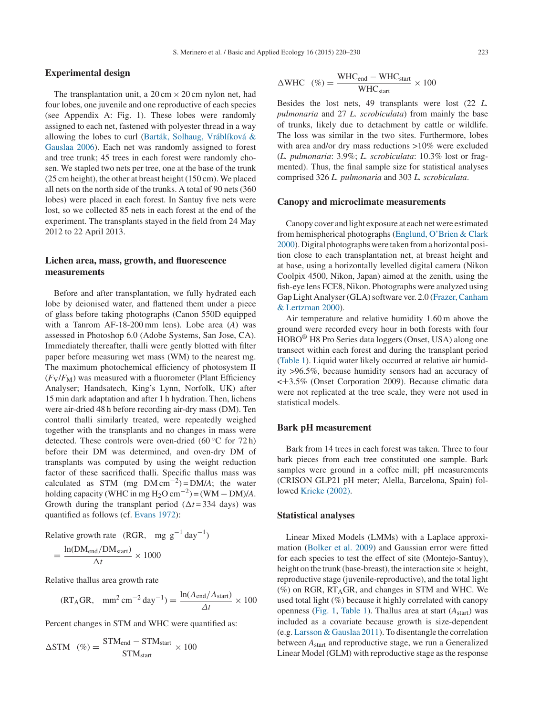## **Experimental design**

The transplantation unit, a  $20 \text{ cm} \times 20 \text{ cm}$  nylon net, had four lobes, one juvenile and one reproductive of each species (see Appendix A: Fig. 1). These lobes were randomly assigned to each net, fastened with polyester thread in a way allowing the lobes to curl ([Barták,](#page-9-0) [Solhaug,](#page-9-0) [Vráblíková](#page-9-0) [&](#page-9-0) [Gauslaa](#page-9-0) [2006\).](#page-9-0) Each net was randomly assigned to forest and tree trunk; 45 trees in each forest were randomly chosen. We stapled two nets per tree, one at the base of the trunk (25 cm height), the other at breast height (150 cm). We placed all nets on the north side of the trunks. A total of 90 nets (360 lobes) were placed in each forest. In Santuy five nets were lost, so we collected 85 nets in each forest at the end of the experiment. The transplants stayed in the field from 24 May 2012 to 22 April 2013.

## **Lichen area, mass, growth, and fluorescence measurements**

Before and after transplantation, we fully hydrated each lobe by deionised water, and flattened them under a piece of glass before taking photographs (Canon 550D equipped with a Tanrom AF-18-200 mm lens). Lobe area (*A*) was assessed in Photoshop 6.0 (Adobe Systems, San Jose, CA). Immediately thereafter, thalli were gently blotted with filter paper before measuring wet mass (WM) to the nearest mg. The maximum photochemical efficiency of photosystem II  $(F_V/F_M)$  was measured with a fluorometer (Plant Efficiency Analyser; Handsatech, King's Lynn, Norfolk, UK) after 15 min dark adaptation and after 1 h hydration. Then, lichens were air-dried 48 h before recording air-dry mass (DM). Ten control thalli similarly treated, were repeatedly weighed together with the transplants and no changes in mass were detected. These controls were oven-dried (60 $°C$  for 72 h) before their DM was determined, and oven-dry DM of transplants was computed by using the weight reduction factor of these sacrificed thalli. Specific thallus mass was calculated as STM (mg  $DM \text{ cm}^{-2}$ ) = DM/A; the water holding capacity (WHC in mg H<sub>2</sub>O cm<sup>-2</sup>) = (WM – DM)/A. Growth during the transplant period  $(\Delta t = 334 \text{ days})$  was quantified as follows (cf. [Evans](#page-10-0) [1972\):](#page-10-0)

Relative growth rate (RGR, mg g<sup>-1</sup> day<sup>-1</sup>)

$$
= \frac{\ln(DM_{\text{end}}/DM_{\text{start}})}{\Delta t} \times 1000
$$

Relative thallus area growth rate

$$
(\text{RT}_\text{A}\text{GR}, \quad \text{mm}^2 \text{ cm}^{-2} \text{ day}^{-1}) = \frac{\ln(A_{\text{end}}/A_{\text{start}})}{\Delta t} \times 100
$$

Percent changes in STM and WHC were quantified as:

$$
\Delta \text{STM} \ \ (\%) = \frac{\text{STM}_{\text{end}} - \text{STM}_{\text{start}}}{\text{STM}_{\text{start}}} \times 100
$$

$$
\Delta \text{WHC} \quad (\%) = \frac{\text{WHC}_{\text{end}} - \text{WHC}_{\text{start}}}{\text{WHC}_{\text{start}}} \times 100
$$

Besides the lost nets, 49 transplants were lost (22 *L. pulmonaria* and 27 *L. scrobiculata*) from mainly the base of trunks, likely due to detachment by cattle or wildlife. The loss was similar in the two sites. Furthermore, lobes with area and/or dry mass reductions >10% were excluded (*L. pulmonaria*: 3.9%; *L. scrobiculata*: 10.3% lost or fragmented). Thus, the final sample size for statistical analyses comprised 326 *L. pulmonaria* and 303 *L. scrobiculata*.

#### **Canopy and microclimate measurements**

Canopy cover and light exposure at each netwere estimated from hemispherical photographs ([Englund,](#page-9-0) [O'Brien](#page-9-0) [&](#page-9-0) [Clark](#page-9-0) [2000\).](#page-9-0)Digital photographswere taken froma horizontal position close to each transplantation net, at breast height and at base, using a horizontally levelled digital camera (Nikon Coolpix 4500, Nikon, Japan) aimed at the zenith, using the fish-eye lens FCE8, Nikon. Photographs were analyzed using Gap Light Analyser (GLA) software ver. 2.0 (Frazer, Canham [&](#page-10-0) [Lertzman](#page-10-0) [2000\).](#page-10-0)

Air temperature and relative humidity 1.60 m above the ground were recorded every hour in both forests with four HOBO® H8 Pro Series data loggers (Onset, USA) along one transect within each forest and during the transplant period ([Table](#page-2-0) 1). Liquid water likely occurred at relative air humidity >96.5%, because humidity sensors had an accuracy of <±3.5% (Onset Corporation 2009). Because climatic data were not replicated at the tree scale, they were not used in statistical models.

#### **Bark pH measurement**

Bark from 14 trees in each forest was taken. Three to four bark pieces from each tree constituted one sample. Bark samples were ground in a coffee mill; pH measurements (CRISON GLP21 pH meter; Alella, Barcelona, Spain) followed [Kricke](#page-10-0) [\(2002\).](#page-10-0)

#### **Statistical analyses**

Linear Mixed Models (LMMs) with a Laplace approximation [\(Bolker](#page-9-0) et [al.](#page-9-0) [2009\)](#page-9-0) and Gaussian error were fitted for each species to test the effect of site (Montejo-Santuy), height on the trunk (base-breast), the interaction site  $\times$  height, reproductive stage (juvenile-reproductive), and the total light  $(\%)$  on RGR, RT<sub>A</sub>GR, and changes in STM and WHC. We used total light  $(\%)$  because it highly correlated with canopy openness ([Fig.](#page-4-0) 1, [Table](#page-2-0) 1). Thallus area at start ( $A<sub>start</sub>$ ) was included as a covariate because growth is size-dependent (e.g. [Larsson](#page-10-0) [&](#page-10-0) [Gauslaa](#page-10-0) [2011\).](#page-10-0) To disentangle the correlation between  $A<sub>start</sub>$  and reproductive stage, we run a Generalized Linear Model (GLM) with reproductive stage as the response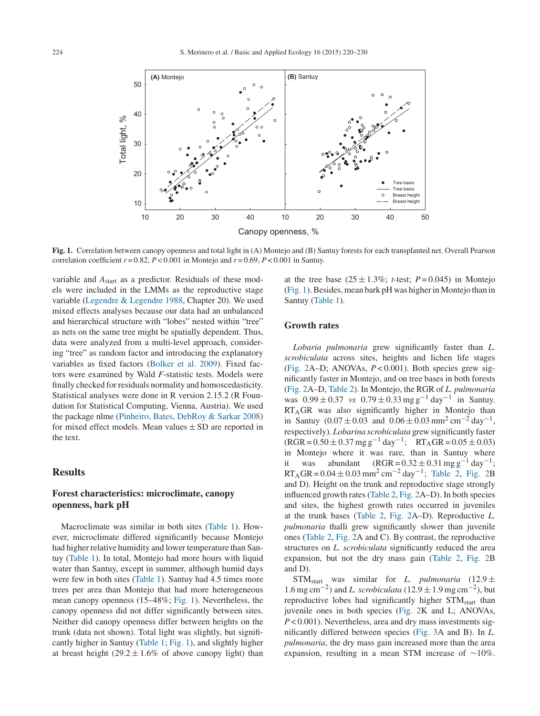<span id="page-4-0"></span>

**Fig. 1.** Correlation between canopy openness and total light in (A) Montejo and (B) Santuy forests for each transplanted net. Overall Pearson correlation coefficient  $r = 0.82$ ,  $P < 0.001$  in Montejo and  $r = 0.69$ ,  $P < 0.001$  in Santuy.

variable and *A*start as a predictor. Residuals of these models were included in the LMMs as the reproductive stage variable [\(Legendre](#page-10-0) [&](#page-10-0) [Legendre](#page-10-0) [1988,](#page-10-0) Chapter 20). We used mixed effects analyses because our data had an unbalanced and hierarchical structure with "lobes" nested within "tree" as nets on the same tree might be spatially dependent. Thus, data were analyzed from a multi-level approach, considering "tree" as random factor and introducing the explanatory variables as fixed factors ([Bolker](#page-9-0) et [al.](#page-9-0) [2009\).](#page-9-0) Fixed factors were examined by Wald *F*-statistic tests. Models were finally checked forresiduals normality and homoscedasticity. Statistical analyses were done in R version 2.15.2 (R Foundation for Statistical Computing, Vienna, Austria). We used the package nlme [\(Pinheiro,](#page-10-0) [Bates,](#page-10-0) [DebRoy](#page-10-0) [&](#page-10-0) [Sarkar](#page-10-0) [2008\)](#page-10-0) for mixed effect models. Mean values  $\pm$  SD are reported in the text.

## **Results**

## **Forest characteristics: microclimate, canopy openness, bark pH**

Macroclimate was similar in both sites [\(Table](#page-2-0) 1). However, microclimate differed significantly because Montejo had higher relative humidity and lower temperature than Santuy ([Table](#page-2-0) 1). In total, Montejo had more hours with liquid water than Santuy, except in summer, although humid days were few in both sites ([Table](#page-2-0) 1). Santuy had 4.5 times more trees per area than Montejo that had more heterogeneous mean canopy openness (15–48%; Fig. 1). Nevertheless, the canopy openness did not differ significantly between sites. Neither did canopy openness differ between heights on the trunk (data not shown). Total light was slightly, but significantly higher in Santuy [\(Table](#page-2-0) 1; Fig. 1), and slightly higher at breast height  $(29.2 \pm 1.6\%$  of above canopy light) than

at the tree base  $(25 \pm 1.3\%; t\text{-test}; P=0.045)$  in Montejo (Fig. 1). Besides, mean bark pH was higher in Montejo than in Santuy [\(Table](#page-2-0) 1).

## **Growth rates**

*Lobaria pulmonaria* grew significantly faster than *L. scrobiculata* across sites, heights and lichen life stages [\(Fig.](#page-5-0) 2A–D; ANOVAs, *P* < 0.001). Both species grew significantly faster in Montejo, and on tree bases in both forests [\(Fig.](#page-5-0) 2A–D, [Table](#page-6-0) 2). In Montejo, the RGR of *L. pulmonaria* was  $0.99 \pm 0.37$  *vs*  $0.79 \pm 0.33$  mg g<sup>-1</sup> day<sup>-1</sup> in Santuy. RTAGR was also significantly higher in Montejo than in Santuy  $(0.07 \pm 0.03$  and  $0.06 \pm 0.03$  mm<sup>2</sup> cm<sup>-2</sup> day<sup>-1</sup>, respectively). *Lobarina scrobiculata* grew significantly faster  $(RGR = 0.50 \pm 0.37 \text{ mg g}^{-1} \text{ day}^{-1}; RT_AGR = 0.05 \pm 0.03)$ in Montejo where it was rare, than in Santuy where it was abundant (RGR =  $0.32 \pm 0.31$  mg g<sup>-1</sup> day<sup>-1</sup>;  $RT_AGR = 0.04 \pm 0.03$  mm<sup>2</sup> cm<sup>-2</sup> day<sup>-1</sup>; [Table](#page-6-0) 2, [Fig.](#page-5-0) 2B and D). Height on the trunk and reproductive stage strongly influenced growth rates[\(Table](#page-6-0) 2, [Fig.](#page-5-0) 2A–D). In both species and sites, the highest growth rates occurred in juveniles at the trunk bases ([Table](#page-6-0) 2, [Fig.](#page-5-0) 2A–D). Reproductive *L. pulmonaria* thalli grew significantly slower than juvenile ones ([Table](#page-6-0) 2, [Fig.](#page-5-0) 2A and C). By contrast, the reproductive structures on *L. scrobiculata* significantly reduced the area expansion, but not the dry mass gain ([Table](#page-6-0) 2, [Fig.](#page-5-0) 2B and D).

 $STM<sub>start</sub>$  was similar for *L. pulmonaria* (12.9  $\pm$  $1.6$  mg cm<sup>-2</sup>) and *L. scrobiculata* (12.9 ± 1.9 mg cm<sup>-2</sup>), but reproductive lobes had significantly higher  $STM<sub>start</sub>$  than juvenile ones in both species ([Fig.](#page-5-0) 2K and L; ANOVAs, *P* < 0.001). Nevertheless, area and dry mass investments significantly differed between species ([Fig.](#page-7-0) 3A and B). In *L. pulmonaria*, the dry mass gain increased more than the area expansion, resulting in a mean STM increase of ∼10%.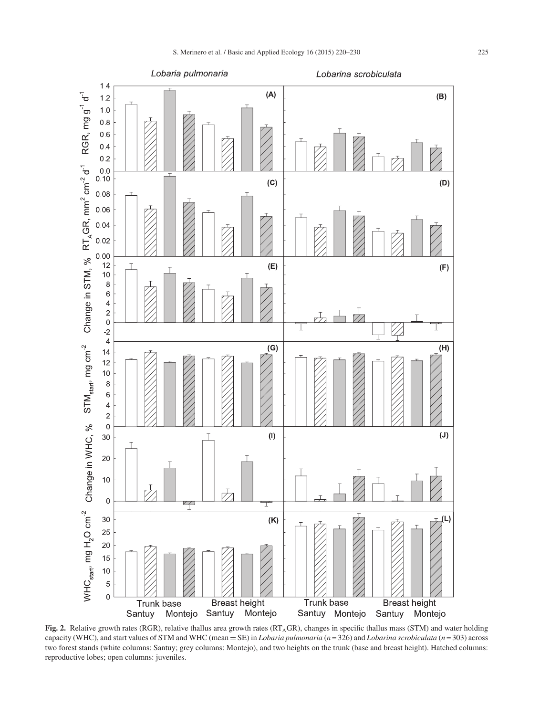<span id="page-5-0"></span>

**Fig. 2.** Relative growth rates (RGR), relative thallus area growth rates (RTAGR), changes in specific thallus mass (STM) and water holding capacity (WHC), and start values of STM and WHC (mean  $\pm$  SE) in *Lobaria pulmonaria* ( $n = 326$ ) and *Lobarina scrobiculata* ( $n = 303$ ) across two forest stands (white columns: Santuy; grey columns: Montejo), and two heights on the trunk (base and breast height). Hatched columns: reproductive lobes; open columns: juveniles.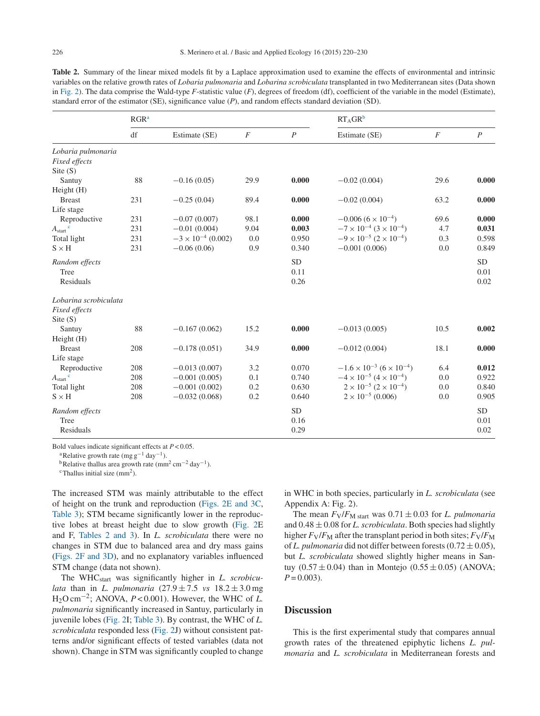<span id="page-6-0"></span>**Table 2.** Summary of the linear mixed models fit by a Laplace approximation used to examine the effects of environmental and intrinsic variables on the relative growth rates of *Lobaria pulmonaria* and *Lobarina scrobiculata* transplanted in two Mediterranean sites (Data shown in [Fig.](#page-5-0) 2). The data comprise the Wald-type *F*-statistic value (*F*), degrees of freedom (df), coefficient of the variable in the model (Estimate), standard error of the estimator (SE), significance value (*P*), and random effects standard deviation (SD).

|                                 | RGR <sup>a</sup> |                             | $RT_AGR^b$ |           |                                            |          |                  |
|---------------------------------|------------------|-----------------------------|------------|-----------|--------------------------------------------|----------|------------------|
|                                 | df               | Estimate (SE)               | $\cal F$   | $\cal P$  | Estimate (SE)                              | $\cal F$ | $\boldsymbol{P}$ |
| Lobaria pulmonaria              |                  |                             |            |           |                                            |          |                  |
| Fixed effects                   |                  |                             |            |           |                                            |          |                  |
| Site $(S)$                      |                  |                             |            |           |                                            |          |                  |
| Santuy                          | 88               | $-0.16(0.05)$               | 29.9       | 0.000     | $-0.02(0.004)$                             | 29.6     | 0.000            |
| Height (H)                      |                  |                             |            |           |                                            |          |                  |
| <b>Breast</b>                   | 231              | $-0.25(0.04)$               | 89.4       | 0.000     | $-0.02(0.004)$                             | 63.2     | 0.000            |
| Life stage                      |                  |                             |            |           |                                            |          |                  |
| Reproductive                    | 231              | $-0.07(0.007)$              | 98.1       | 0.000     | $-0.006$ (6 $\times$ 10 <sup>-4</sup> )    | 69.6     | 0.000            |
| $A_{\text{start}}$ <sup>c</sup> | 231              | $-0.01(0.004)$              | 9.04       | 0.003     | $-7 \times 10^{-4}$ (3 $\times 10^{-4}$ )  | 4.7      | 0.031            |
| Total light                     | 231              | $-3 \times 10^{-4}$ (0.002) | 0.0        | 0.950     | $-9 \times 10^{-5}$ $(2 \times 10^{-4})$   | 0.3      | 0.598            |
| $S \times H$                    | 231              | $-0.06(0.06)$               | 0.9        | 0.340     | $-0.001(0.006)$                            | 0.0      | 0.849            |
| Random effects                  |                  |                             |            | <b>SD</b> |                                            |          | <b>SD</b>        |
| Tree                            |                  |                             |            | 0.11      |                                            |          | 0.01             |
| Residuals                       |                  |                             |            | 0.26      |                                            |          | 0.02             |
| Lobarina scrobiculata           |                  |                             |            |           |                                            |          |                  |
| Fixed effects                   |                  |                             |            |           |                                            |          |                  |
| Site $(S)$                      |                  |                             |            |           |                                            |          |                  |
| Santuy                          | 88               | $-0.167(0.062)$             | 15.2       | 0.000     | $-0.013(0.005)$                            | 10.5     | 0.002            |
| Height (H)                      |                  |                             |            |           |                                            |          |                  |
| <b>Breast</b>                   | 208              | $-0.178(0.051)$             | 34.9       | 0.000     | $-0.012(0.004)$                            | 18.1     | 0.000            |
| Life stage                      |                  |                             |            |           |                                            |          |                  |
| Reproductive                    | 208              | $-0.013(0.007)$             | 3.2        | 0.070     | $-1.6 \times 10^{-3}$ $(6 \times 10^{-4})$ | 6.4      | 0.012            |
| $A_{\text{start}}$ <sup>c</sup> | 208              | $-0.001(0.005)$             | 0.1        | 0.740     | $-4 \times 10^{-5}$ (4 $\times 10^{-4}$ )  | 0.0      | 0.922            |
| Total light                     | 208              | $-0.001(0.002)$             | 0.2        | 0.630     | $2 \times 10^{-5}$ $(2 \times 10^{-4})$    | 0.0      | 0.840            |
| $S \times H$                    | 208              | $-0.032(0.068)$             | 0.2        | 0.640     | $2 \times 10^{-5}$ (0.006)                 | 0.0      | 0.905            |
| Random effects                  |                  |                             |            | <b>SD</b> |                                            |          | <b>SD</b>        |
| Tree                            |                  |                             |            | 0.16      |                                            |          | 0.01             |
| Residuals                       |                  |                             |            | 0.29      |                                            |          | 0.02             |

Bold values indicate significant effects at *P* < 0.05.

<sup>a</sup>Relative growth rate (mg  $g^{-1}$  day<sup>-1</sup>).

<sup>b</sup>Relative thallus area growth rate (mm<sup>2</sup> cm<sup>-2</sup> day<sup>-1</sup>).

 $\text{c}$ Thallus initial size (mm<sup>2</sup>).

The increased STM was mainly attributable to the effect of height on the trunk and reproduction [\(Figs.](#page-5-0) 2E and 3C, [Table](#page-8-0) 3); STM became significantly lower in the reproductive lobes at breast height due to slow growth [\(Fig.](#page-5-0) 2E and F, Tables 2 and 3). In *L. scrobiculata* there were no changes in STM due to balanced area and dry mass gains [\(Figs.](#page-5-0) 2F and 3D), and no explanatory variables influenced STM change (data not shown).

The WHCstart was significantly higher in *L. scrobiculata* than in *L. pulmonaria*  $(27.9 \pm 7.5 \text{ vs } 18.2 \pm 3.0 \text{ mg})$ H2O cm−2; ANOVA, *P* < 0.001). However, the WHC of *L. pulmonaria* significantly increased in Santuy, particularly in juvenile lobes ([Fig.](#page-5-0) 2I; [Table](#page-8-0) 3). By contrast, the WHC of *L. scrobiculata* responded less ([Fig.](#page-5-0) 2J) without consistent patterns and/or significant effects of tested variables (data not shown). Change in STM was significantly coupled to change

in WHC in both species, particularly in *L. scrobiculata* (see Appendix A: Fig. 2).

The mean  $F_V/F_M$  start was  $0.71 \pm 0.03$  for *L. pulmonaria* and  $0.48 \pm 0.08$  for *L. scrobiculata*. Both species had slightly higher  $F_V/F_M$  after the transplant period in both sites;  $F_V/F_M$ of *L. pulmonaria* did not differ between forests  $(0.72 \pm 0.05)$ , but *L. scrobiculata* showed slightly higher means in Santuy  $(0.57 \pm 0.04)$  than in Montejo  $(0.55 \pm 0.05)$  (ANOVA;  $P = 0.003$ .

## **Discussion**

This is the first experimental study that compares annual growth rates of the threatened epiphytic lichens *L. pulmonaria* and *L. scrobiculata* in Mediterranean forests and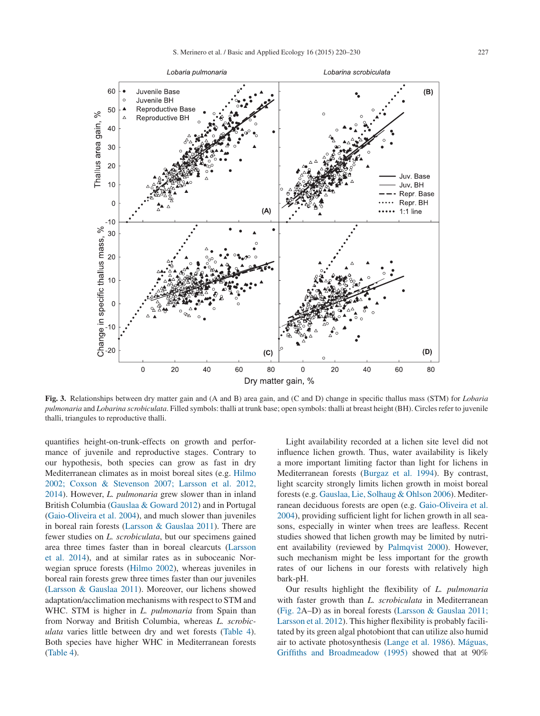

<span id="page-7-0"></span>

**Fig. 3.** Relationships between dry matter gain and (A and B) area gain, and (C and D) change in specific thallus mass (STM) for *Lobaria pulmonaria* and *Lobarina scrobiculata*. Filled symbols: thalli at trunk base; open symbols: thalli at breast height (BH). Circlesrefer to juvenile thalli, triangules to reproductive thalli.

quantifies height-on-trunk-effects on growth and performance of juvenile and reproductive stages. Contrary to our hypothesis, both species can grow as fast in dry Mediterranean climates as in moist boreal sites (e.g. [Hilmo](#page-10-0) [2002;](#page-10-0) [Coxson](#page-10-0) [&](#page-10-0) [Stevenson](#page-10-0) [2007;](#page-10-0) [Larsson](#page-10-0) et [al.](#page-10-0) [2012,](#page-10-0) [2014\).](#page-10-0) However, *L. pulmonaria* grew slower than in inland British Columbia [\(Gauslaa](#page-10-0) [&](#page-10-0) [Goward](#page-10-0) [2012\)](#page-10-0) and in Portugal ([Gaio-Oliveira](#page-10-0) et [al.](#page-10-0) [2004\),](#page-10-0) and much slower than juveniles in boreal rain forests [\(Larsson](#page-10-0) [&](#page-10-0) [Gauslaa](#page-10-0) [2011\).](#page-10-0) There are fewer studies on *L. scrobiculata*, but our specimens gained area three times faster than in boreal clearcuts [\(Larsson](#page-10-0) et [al.](#page-10-0) [2014\),](#page-10-0) and at similar rates as in suboceanic Norwegian spruce forests ([Hilmo](#page-10-0) [2002\),](#page-10-0) whereas juveniles in boreal rain forests grew three times faster than our juveniles ([Larsson](#page-10-0) [&](#page-10-0) [Gauslaa](#page-10-0) [2011\).](#page-10-0) Moreover, our lichens showed adaptation/acclimation mechanisms with respect to STM and WHC. STM is higher in *L. pulmonaria* from Spain than from Norway and British Columbia, whereas *L. scrobiculata* varies little between dry and wet forests ([Table](#page-8-0) 4). Both species have higher WHC in Mediterranean forests ([Table](#page-8-0) 4).

Light availability recorded at a lichen site level did not influence lichen growth. Thus, water availability is likely a more important limiting factor than light for lichens in Mediterranean forests [\(Burgaz](#page-9-0) et [al.](#page-9-0) [1994\).](#page-9-0) By contrast, light scarcity strongly limits lichen growth in moist boreal forests(e.g. [Gauslaa,](#page-10-0) [Lie,](#page-10-0) [Solhaug](#page-10-0) [&](#page-10-0) [Ohlson](#page-10-0) [2006\).](#page-10-0) Mediterranean deciduous forests are open (e.g. [Gaio-Oliveira](#page-10-0) et [al.](#page-10-0) [2004\),](#page-10-0) providing sufficient light for lichen growth in all seasons, especially in winter when trees are leafless. Recent studies showed that lichen growth may be limited by nutrient availability (reviewed by [Palmqvist](#page-10-0) [2000\).](#page-10-0) However, such mechanism might be less important for the growth rates of our lichens in our forests with relatively high bark-pH.

Our results highlight the flexibility of *L. pulmonaria* with faster growth than *L. scrobiculata* in Mediterranean ([Fig.](#page-5-0) 2A–D) as in boreal forests ([Larsson](#page-10-0) [&](#page-10-0) [Gauslaa](#page-10-0) [2011;](#page-10-0) [Larsson](#page-10-0) et [al.](#page-10-0) [2012\).](#page-10-0) This higher flexibility is probably facilitated by its green algal photobiont that can utilize also humid air to activate photosynthesis [\(Lange](#page-10-0) et [al.](#page-10-0) [1986\).](#page-10-0) [Máguas,](#page-10-0) [Griffiths](#page-10-0) [and](#page-10-0) [Broadmeadow](#page-10-0) [\(1995\)](#page-10-0) showed that at 90%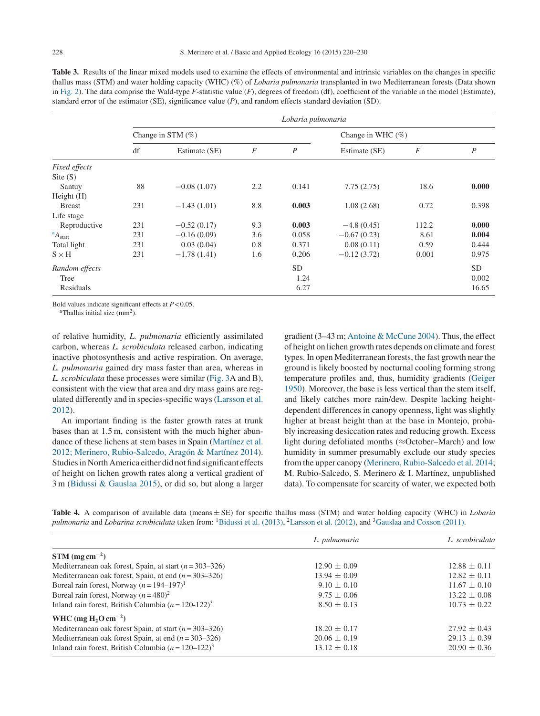<span id="page-8-0"></span>**Table 3.** Results of the linear mixed models used to examine the effects of environmental and intrinsic variables on the changes in specific thallus mass (STM) and water holding capacity (WHC) (%) of *Lobaria pulmonaria* transplanted in two Mediterranean forests (Data shown in [Fig.](#page-5-0) 2). The data comprise the Wald-type *F*-statistic value (*F*), degrees of freedom (df), coefficient of the variable in the model (Estimate), standard error of the estimator (SE), significance value (*P*), and random effects standard deviation (SD).

|                      | Lobaria pulmonaria   |               |          |                      |               |                  |                  |
|----------------------|----------------------|---------------|----------|----------------------|---------------|------------------|------------------|
|                      | Change in STM $(\%)$ |               |          | Change in WHC $(\%)$ |               |                  |                  |
|                      | df                   | Estimate (SE) | $\cal F$ | $\boldsymbol{P}$     | Estimate (SE) | $\boldsymbol{F}$ | $\boldsymbol{P}$ |
| <b>Fixed effects</b> |                      |               |          |                      |               |                  |                  |
| Site $(S)$           |                      |               |          |                      |               |                  |                  |
| Santuy               | 88                   | $-0.08(1.07)$ | 2.2      | 0.141                | 7.75(2.75)    | 18.6             | 0.000            |
| Height $(H)$         |                      |               |          |                      |               |                  |                  |
| <b>Breast</b>        | 231                  | $-1.43(1.01)$ | 8.8      | 0.003                | 1.08(2.68)    | 0.72             | 0.398            |
| Life stage           |                      |               |          |                      |               |                  |                  |
| Reproductive         | 231                  | $-0.52(0.17)$ | 9.3      | 0.003                | $-4.8(0.45)$  | 112.2            | 0.000            |
| $A_{\text{start}}$   | 231                  | $-0.16(0.09)$ | 3.6      | 0.058                | $-0.67(0.23)$ | 8.61             | 0.004            |
| Total light          | 231                  | 0.03(0.04)    | 0.8      | 0.371                | 0.08(0.11)    | 0.59             | 0.444            |
| $S \times H$         | 231                  | $-1.78(1.41)$ | 1.6      | 0.206                | $-0.12(3.72)$ | 0.001            | 0.975            |
| Random effects       |                      |               |          | <b>SD</b>            |               |                  | <b>SD</b>        |
| Tree                 |                      |               |          | 1.24                 |               |                  | 0.002            |
| Residuals            |                      |               |          | 6.27                 |               |                  | 16.65            |

Bold values indicate significant effects at *P* < 0.05.

<sup>a</sup>Thallus initial size  $(mm<sup>2</sup>)$ .

of relative humidity, *L. pulmonaria* efficiently assimilated carbon, whereas *L. scrobiculata* released carbon, indicating inactive photosynthesis and active respiration. On average, *L. pulmonaria* gained dry mass faster than area, whereas in *L. scrobiculata* these processes were similar [\(Fig.](#page-7-0) 3A and B), consistent with the view that area and dry mass gains are regulated differently and in species-specific ways [\(Larsson](#page-10-0) et [al.](#page-10-0) [2012\).](#page-10-0)

An important finding is the faster growth rates at trunk bases than at 1.5 m, consistent with the much higher abundance of these lichens at stem bases in Spain ([Martínez](#page-10-0) et [al.](#page-10-0) [2012;](#page-10-0) [Merinero,](#page-10-0) [Rubio-Salcedo,](#page-10-0) [Aragón](#page-10-0) [&](#page-10-0) [Martínez](#page-10-0) [2014\).](#page-10-0) Studiesin North America either did not find significant effects of height on lichen growth rates along a vertical gradient of 3 m [\(Bidussi](#page-9-0) [&](#page-9-0) [Gauslaa](#page-9-0) [2015\),](#page-9-0) or did so, but along a larger gradient (3–43 m; [Antoine](#page-9-0) [&](#page-9-0) [McCune](#page-9-0) [2004\).](#page-9-0) Thus, the effect of height on lichen growth rates depends on climate and forest types. In open Mediterranean forests, the fast growth near the ground is likely boosted by nocturnal cooling forming strong temperature profiles and, thus, humidity gradients ([Geiger](#page-10-0) [1950\).](#page-10-0) Moreover, the base is less vertical than the stem itself, and likely catches more rain/dew. Despite lacking heightdependent differences in canopy openness, light was slightly higher at breast height than at the base in Montejo, probably increasing desiccation rates and reducing growth. Excess light during defoliated months (≈October–March) and low humidity in summer presumably exclude our study species from the upper canopy [\(Merinero,](#page-10-0) [Rubio-Salcedo](#page-10-0) et [al.](#page-10-0) [2014;](#page-10-0) M. Rubio-Salcedo, S. Merinero & I. Martínez, unpublished data). To compensate for scarcity of water, we expected both

**Table 4.** A comparison of available data (means ± SE) for specific thallus mass (STM) and water holding capacity (WHC) in *Lobaria pulmonaria* and *Lobarina scrobiculata* taken from: 1[Bidussi](#page-9-0) et [al.](#page-9-0) [\(2013\),](#page-9-0) 2[Larsson](#page-10-0) et [al.](#page-10-0) [\(2012\),](#page-10-0) and 3[Gauslaa](#page-10-0) [and](#page-10-0) [Coxson](#page-10-0) [\(2011\).](#page-10-0)

|                                                             | L. pulmonaria    | L. scrobiculata  |
|-------------------------------------------------------------|------------------|------------------|
| $STM (mg cm-2)$                                             |                  |                  |
| Mediterranean oak forest, Spain, at start ( $n = 303-326$ ) | $12.90 \pm 0.09$ | $12.88 \pm 0.11$ |
| Mediterranean oak forest, Spain, at end $(n=303-326)$       | $13.94 \pm 0.09$ | $12.82 \pm 0.11$ |
| Boreal rain forest, Norway $(n = 194-197)^1$                | $9.10 \pm 0.10$  | $11.67 \pm 0.10$ |
| Boreal rain forest, Norway $(n=480)^2$                      | $9.75 \pm 0.06$  | $13.22 \pm 0.08$ |
| Inland rain forest, British Columbia $(n = 120-122)^3$      | $8.50 \pm 0.13$  | $10.73 \pm 0.22$ |
| WHC (mg $H_2O \text{ cm}^{-2}$ )                            |                  |                  |
| Mediterranean oak forest Spain, at start ( $n = 303-326$ )  | $18.20 \pm 0.17$ | $27.92 \pm 0.43$ |
| Mediterranean oak forest Spain, at end $(n = 303-326)$      | $20.06 \pm 0.19$ | $29.13 \pm 0.39$ |
| Inland rain forest, British Columbia $(n = 120-122)^3$      | $13.12 \pm 0.18$ | $20.90 \pm 0.36$ |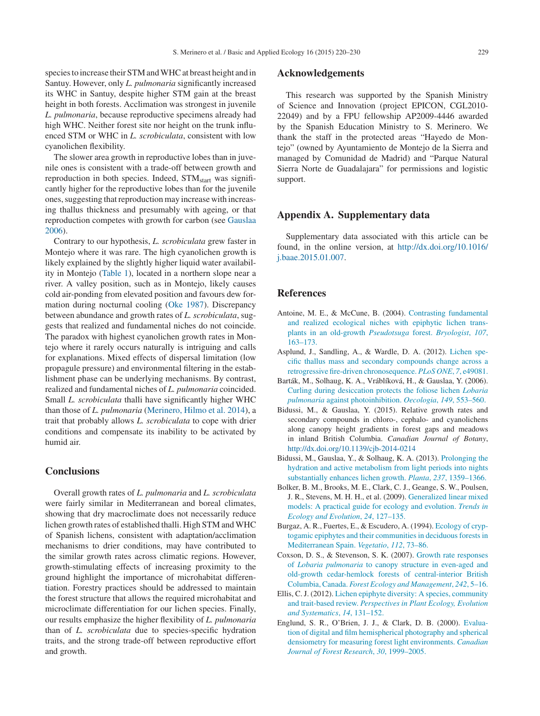<span id="page-9-0"></span>species to increase their STM and WHC at breast height and in Santuy. However, only *L. pulmonaria* significantly increased its WHC in Santuy, despite higher STM gain at the breast height in both forests. Acclimation was strongest in juvenile *L. pulmonaria*, because reproductive specimens already had high WHC. Neither forest site nor height on the trunk influenced STM or WHC in *L. scrobiculata*, consistent with low cyanolichen flexibility.

The slower area growth in reproductive lobes than in juvenile ones is consistent with a trade-off between growth and reproduction in both species. Indeed, STM<sub>start</sub> was significantly higher for the reproductive lobes than for the juvenile ones, suggesting that reproduction may increase with increasing thallus thickness and presumably with ageing, or that reproduction competes with growth for carbon (see [Gauslaa](#page-10-0) [2006\).](#page-10-0)

Contrary to our hypothesis, *L. scrobiculata* grew faster in Montejo where it was rare. The high cyanolichen growth is likely explained by the slightly higher liquid water availability in Montejo [\(Table](#page-2-0) 1), located in a northern slope near a river. A valley position, such as in Montejo, likely causes cold air-ponding from elevated position and favours dew formation during nocturnal cooling [\(Oke](#page-10-0) [1987\).](#page-10-0) Discrepancy between abundance and growth rates of *L. scrobiculata*, suggests that realized and fundamental niches do not coincide. The paradox with highest cyanolichen growth rates in Montejo where it rarely occurs naturally is intriguing and calls for explanations. Mixed effects of dispersal limitation (low propagule pressure) and environmental filtering in the establishment phase can be underlying mechanisms. By contrast, realized and fundamental niches of *L. pulmonaria* coincided. Small *L. scrobiculata* thalli have significantly higher WHC than those of *L. pulmonaria* [\(Merinero,](#page-10-0) [Hilmo](#page-10-0) et [al.](#page-10-0) [2014\),](#page-10-0) a trait that probably allows *L. scrobiculata* to cope with drier conditions and compensate its inability to be activated by humid air.

## **Conclusions**

Overall growth rates of *L. pulmonaria* and *L. scrobiculata* were fairly similar in Mediterranean and boreal climates, showing that dry macroclimate does not necessarily reduce lichen growth rates of established thalli. High STM and WHC of Spanish lichens, consistent with adaptation/acclimation mechanisms to drier conditions, may have contributed to the similar growth rates across climatic regions. However, growth-stimulating effects of increasing proximity to the ground highlight the importance of microhabitat differentiation. Forestry practices should be addressed to maintain the forest structure that allows the required microhabitat and microclimate differentiation for our lichen species. Finally, our results emphasize the higher flexibility of *L. pulmonaria* than of *L. scrobiculata* due to species-specific hydration traits, and the strong trade-off between reproductive effort and growth.

#### **Acknowledgements**

This research was supported by the Spanish Ministry of Science and Innovation (project EPICON, CGL2010- 22049) and by a FPU fellowship AP2009-4446 awarded by the Spanish Education Ministry to S. Merinero. We thank the staff in the protected areas "Hayedo de Montejo" (owned by Ayuntamiento de Montejo de la Sierra and managed by Comunidad de Madrid) and "Parque Natural Sierra Norte de Guadalajara" for permissions and logistic support.

## **Appendix A. Supplementary data**

Supplementary data associated with this article can be found, in the online version, at [http://dx.doi.org/10.1016/](http://dx.doi.org/10.1016/j.baae.2015.01.007) [j.baae.2015.01.007](http://dx.doi.org/10.1016/j.baae.2015.01.007).

## **References**

- Antoine, M. E., & McCune, B. (2004). [Contrasting](http://refhub.elsevier.com/S1439-1791(15)00008-0/sbref0005) [fundamental](http://refhub.elsevier.com/S1439-1791(15)00008-0/sbref0005) [and](http://refhub.elsevier.com/S1439-1791(15)00008-0/sbref0005) [realized](http://refhub.elsevier.com/S1439-1791(15)00008-0/sbref0005) [ecological](http://refhub.elsevier.com/S1439-1791(15)00008-0/sbref0005) [niches](http://refhub.elsevier.com/S1439-1791(15)00008-0/sbref0005) [with](http://refhub.elsevier.com/S1439-1791(15)00008-0/sbref0005) [epiphytic](http://refhub.elsevier.com/S1439-1791(15)00008-0/sbref0005) [lichen](http://refhub.elsevier.com/S1439-1791(15)00008-0/sbref0005) [trans](http://refhub.elsevier.com/S1439-1791(15)00008-0/sbref0005)[plants](http://refhub.elsevier.com/S1439-1791(15)00008-0/sbref0005) [in](http://refhub.elsevier.com/S1439-1791(15)00008-0/sbref0005) [an](http://refhub.elsevier.com/S1439-1791(15)00008-0/sbref0005) [old-growth](http://refhub.elsevier.com/S1439-1791(15)00008-0/sbref0005) *[Pseudotsuga](http://refhub.elsevier.com/S1439-1791(15)00008-0/sbref0005)* [forest.](http://refhub.elsevier.com/S1439-1791(15)00008-0/sbref0005) *[Bryologist](http://refhub.elsevier.com/S1439-1791(15)00008-0/sbref0005)*[,](http://refhub.elsevier.com/S1439-1791(15)00008-0/sbref0005) *[107](http://refhub.elsevier.com/S1439-1791(15)00008-0/sbref0005)*[,](http://refhub.elsevier.com/S1439-1791(15)00008-0/sbref0005) [163](http://refhub.elsevier.com/S1439-1791(15)00008-0/sbref0005)–[173.](http://refhub.elsevier.com/S1439-1791(15)00008-0/sbref0005)
- Asplund, J., Sandling, A., & Wardle, D. A. (2012). [Lichen](http://refhub.elsevier.com/S1439-1791(15)00008-0/sbref0010) [spe](http://refhub.elsevier.com/S1439-1791(15)00008-0/sbref0010)[cific](http://refhub.elsevier.com/S1439-1791(15)00008-0/sbref0010) [thallus](http://refhub.elsevier.com/S1439-1791(15)00008-0/sbref0010) [mass](http://refhub.elsevier.com/S1439-1791(15)00008-0/sbref0010) [and](http://refhub.elsevier.com/S1439-1791(15)00008-0/sbref0010) [secondary](http://refhub.elsevier.com/S1439-1791(15)00008-0/sbref0010) [compounds](http://refhub.elsevier.com/S1439-1791(15)00008-0/sbref0010) [change](http://refhub.elsevier.com/S1439-1791(15)00008-0/sbref0010) [across](http://refhub.elsevier.com/S1439-1791(15)00008-0/sbref0010) [a](http://refhub.elsevier.com/S1439-1791(15)00008-0/sbref0010) [retrogressive](http://refhub.elsevier.com/S1439-1791(15)00008-0/sbref0010) [fire-driven](http://refhub.elsevier.com/S1439-1791(15)00008-0/sbref0010) [chronosequence.](http://refhub.elsevier.com/S1439-1791(15)00008-0/sbref0010) *[PLoS](http://refhub.elsevier.com/S1439-1791(15)00008-0/sbref0010) [ONE](http://refhub.elsevier.com/S1439-1791(15)00008-0/sbref0010)*[,](http://refhub.elsevier.com/S1439-1791(15)00008-0/sbref0010) *[7](http://refhub.elsevier.com/S1439-1791(15)00008-0/sbref0010)*[,](http://refhub.elsevier.com/S1439-1791(15)00008-0/sbref0010) [e49081.](http://refhub.elsevier.com/S1439-1791(15)00008-0/sbref0010)
- Barták, M., Solhaug, K. A., Vráblíková, H., & Gauslaa, Y. (2006). [Curling](http://refhub.elsevier.com/S1439-1791(15)00008-0/sbref0015) [during](http://refhub.elsevier.com/S1439-1791(15)00008-0/sbref0015) [desiccation](http://refhub.elsevier.com/S1439-1791(15)00008-0/sbref0015) [protects](http://refhub.elsevier.com/S1439-1791(15)00008-0/sbref0015) [the](http://refhub.elsevier.com/S1439-1791(15)00008-0/sbref0015) [foliose](http://refhub.elsevier.com/S1439-1791(15)00008-0/sbref0015) [lichen](http://refhub.elsevier.com/S1439-1791(15)00008-0/sbref0015) *[Lobaria](http://refhub.elsevier.com/S1439-1791(15)00008-0/sbref0015) [pulmonaria](http://refhub.elsevier.com/S1439-1791(15)00008-0/sbref0015)* [against](http://refhub.elsevier.com/S1439-1791(15)00008-0/sbref0015) [photoinhibition.](http://refhub.elsevier.com/S1439-1791(15)00008-0/sbref0015) *[Oecologia](http://refhub.elsevier.com/S1439-1791(15)00008-0/sbref0015)*[,](http://refhub.elsevier.com/S1439-1791(15)00008-0/sbref0015) *[149](http://refhub.elsevier.com/S1439-1791(15)00008-0/sbref0015)*[,](http://refhub.elsevier.com/S1439-1791(15)00008-0/sbref0015) [553](http://refhub.elsevier.com/S1439-1791(15)00008-0/sbref0015)–[560.](http://refhub.elsevier.com/S1439-1791(15)00008-0/sbref0015)
- Bidussi, M., & Gauslaa, Y. (2015). Relative growth rates and secondary compounds in chloro-, cephalo- and cyanolichens along canopy height gradients in forest gaps and meadows in inland British Columbia. *Canadian Journal of Botany*, [http://dx.doi.org/10.1139/cjb-2014-0214](dx.doi.org/10.1139/cjb-2014-0214)
- Bidussi, M., Gauslaa, Y., & Solhaug, K. A. (2013). [Prolonging](http://refhub.elsevier.com/S1439-1791(15)00008-0/sbref0025) [the](http://refhub.elsevier.com/S1439-1791(15)00008-0/sbref0025) [hydration](http://refhub.elsevier.com/S1439-1791(15)00008-0/sbref0025) [and](http://refhub.elsevier.com/S1439-1791(15)00008-0/sbref0025) [active](http://refhub.elsevier.com/S1439-1791(15)00008-0/sbref0025) [metabolism](http://refhub.elsevier.com/S1439-1791(15)00008-0/sbref0025) [from](http://refhub.elsevier.com/S1439-1791(15)00008-0/sbref0025) [light](http://refhub.elsevier.com/S1439-1791(15)00008-0/sbref0025) [periods](http://refhub.elsevier.com/S1439-1791(15)00008-0/sbref0025) [into](http://refhub.elsevier.com/S1439-1791(15)00008-0/sbref0025) [nights](http://refhub.elsevier.com/S1439-1791(15)00008-0/sbref0025) [substantially](http://refhub.elsevier.com/S1439-1791(15)00008-0/sbref0025) [enhances](http://refhub.elsevier.com/S1439-1791(15)00008-0/sbref0025) [lichen](http://refhub.elsevier.com/S1439-1791(15)00008-0/sbref0025) [growth.](http://refhub.elsevier.com/S1439-1791(15)00008-0/sbref0025) *[Planta](http://refhub.elsevier.com/S1439-1791(15)00008-0/sbref0025)*[,](http://refhub.elsevier.com/S1439-1791(15)00008-0/sbref0025) *[237](http://refhub.elsevier.com/S1439-1791(15)00008-0/sbref0025)*[,](http://refhub.elsevier.com/S1439-1791(15)00008-0/sbref0025) [1359–1366.](http://refhub.elsevier.com/S1439-1791(15)00008-0/sbref0025)
- Bolker, B. M., Brooks, M. E., Clark, C. J., Geange, S. W., Poulsen, J. R., Stevens, M. H. H., et al. (2009). [Generalized](http://refhub.elsevier.com/S1439-1791(15)00008-0/sbref0030) [linear](http://refhub.elsevier.com/S1439-1791(15)00008-0/sbref0030) [mixed](http://refhub.elsevier.com/S1439-1791(15)00008-0/sbref0030) [models:](http://refhub.elsevier.com/S1439-1791(15)00008-0/sbref0030) [A](http://refhub.elsevier.com/S1439-1791(15)00008-0/sbref0030) [practical](http://refhub.elsevier.com/S1439-1791(15)00008-0/sbref0030) [guide](http://refhub.elsevier.com/S1439-1791(15)00008-0/sbref0030) [for](http://refhub.elsevier.com/S1439-1791(15)00008-0/sbref0030) [ecology](http://refhub.elsevier.com/S1439-1791(15)00008-0/sbref0030) [and](http://refhub.elsevier.com/S1439-1791(15)00008-0/sbref0030) [evolution.](http://refhub.elsevier.com/S1439-1791(15)00008-0/sbref0030) *[Trends](http://refhub.elsevier.com/S1439-1791(15)00008-0/sbref0030) [in](http://refhub.elsevier.com/S1439-1791(15)00008-0/sbref0030) [Ecology](http://refhub.elsevier.com/S1439-1791(15)00008-0/sbref0030) [and](http://refhub.elsevier.com/S1439-1791(15)00008-0/sbref0030) [Evolution](http://refhub.elsevier.com/S1439-1791(15)00008-0/sbref0030)*[,](http://refhub.elsevier.com/S1439-1791(15)00008-0/sbref0030) *[24](http://refhub.elsevier.com/S1439-1791(15)00008-0/sbref0030)*[,](http://refhub.elsevier.com/S1439-1791(15)00008-0/sbref0030) [127](http://refhub.elsevier.com/S1439-1791(15)00008-0/sbref0030)–[135.](http://refhub.elsevier.com/S1439-1791(15)00008-0/sbref0030)
- Burgaz, A. R., Fuertes, E., & Escudero, A. (1994). [Ecology](http://refhub.elsevier.com/S1439-1791(15)00008-0/sbref0035) [of](http://refhub.elsevier.com/S1439-1791(15)00008-0/sbref0035) [cryp](http://refhub.elsevier.com/S1439-1791(15)00008-0/sbref0035)[togamic](http://refhub.elsevier.com/S1439-1791(15)00008-0/sbref0035) [epiphytes](http://refhub.elsevier.com/S1439-1791(15)00008-0/sbref0035) [and](http://refhub.elsevier.com/S1439-1791(15)00008-0/sbref0035) [their](http://refhub.elsevier.com/S1439-1791(15)00008-0/sbref0035) [communities](http://refhub.elsevier.com/S1439-1791(15)00008-0/sbref0035) [in](http://refhub.elsevier.com/S1439-1791(15)00008-0/sbref0035) [deciduous](http://refhub.elsevier.com/S1439-1791(15)00008-0/sbref0035) [forests](http://refhub.elsevier.com/S1439-1791(15)00008-0/sbref0035) [in](http://refhub.elsevier.com/S1439-1791(15)00008-0/sbref0035) [Mediterranean](http://refhub.elsevier.com/S1439-1791(15)00008-0/sbref0035) [Spain.](http://refhub.elsevier.com/S1439-1791(15)00008-0/sbref0035) *[Vegetatio](http://refhub.elsevier.com/S1439-1791(15)00008-0/sbref0035)*[,](http://refhub.elsevier.com/S1439-1791(15)00008-0/sbref0035) *[112](http://refhub.elsevier.com/S1439-1791(15)00008-0/sbref0035)*[,](http://refhub.elsevier.com/S1439-1791(15)00008-0/sbref0035) [73](http://refhub.elsevier.com/S1439-1791(15)00008-0/sbref0035)–[86.](http://refhub.elsevier.com/S1439-1791(15)00008-0/sbref0035)
- Coxson, D. S., & Stevenson, S. K. (2007). [Growth](http://refhub.elsevier.com/S1439-1791(15)00008-0/sbref0040) [rate](http://refhub.elsevier.com/S1439-1791(15)00008-0/sbref0040) [responses](http://refhub.elsevier.com/S1439-1791(15)00008-0/sbref0040) [of](http://refhub.elsevier.com/S1439-1791(15)00008-0/sbref0040) *[Lobaria](http://refhub.elsevier.com/S1439-1791(15)00008-0/sbref0040) [pulmonaria](http://refhub.elsevier.com/S1439-1791(15)00008-0/sbref0040)* [to](http://refhub.elsevier.com/S1439-1791(15)00008-0/sbref0040) [canopy](http://refhub.elsevier.com/S1439-1791(15)00008-0/sbref0040) [structure](http://refhub.elsevier.com/S1439-1791(15)00008-0/sbref0040) [in](http://refhub.elsevier.com/S1439-1791(15)00008-0/sbref0040) [even-aged](http://refhub.elsevier.com/S1439-1791(15)00008-0/sbref0040) [and](http://refhub.elsevier.com/S1439-1791(15)00008-0/sbref0040) [old-growth](http://refhub.elsevier.com/S1439-1791(15)00008-0/sbref0040) [cedar-hemlock](http://refhub.elsevier.com/S1439-1791(15)00008-0/sbref0040) [forests](http://refhub.elsevier.com/S1439-1791(15)00008-0/sbref0040) [of](http://refhub.elsevier.com/S1439-1791(15)00008-0/sbref0040) [central-interior](http://refhub.elsevier.com/S1439-1791(15)00008-0/sbref0040) [British](http://refhub.elsevier.com/S1439-1791(15)00008-0/sbref0040) [Columbia,](http://refhub.elsevier.com/S1439-1791(15)00008-0/sbref0040) [Canada.](http://refhub.elsevier.com/S1439-1791(15)00008-0/sbref0040) *[Forest](http://refhub.elsevier.com/S1439-1791(15)00008-0/sbref0040) [Ecology](http://refhub.elsevier.com/S1439-1791(15)00008-0/sbref0040) [and](http://refhub.elsevier.com/S1439-1791(15)00008-0/sbref0040) [Management](http://refhub.elsevier.com/S1439-1791(15)00008-0/sbref0040)*[,](http://refhub.elsevier.com/S1439-1791(15)00008-0/sbref0040) *[242](http://refhub.elsevier.com/S1439-1791(15)00008-0/sbref0040)*[,](http://refhub.elsevier.com/S1439-1791(15)00008-0/sbref0040) [5](http://refhub.elsevier.com/S1439-1791(15)00008-0/sbref0040)–[16.](http://refhub.elsevier.com/S1439-1791(15)00008-0/sbref0040)
- Ellis, C.J. (2012). [Lichen](http://refhub.elsevier.com/S1439-1791(15)00008-0/sbref0045) [epiphyte](http://refhub.elsevier.com/S1439-1791(15)00008-0/sbref0045) [diversity:](http://refhub.elsevier.com/S1439-1791(15)00008-0/sbref0045) [A](http://refhub.elsevier.com/S1439-1791(15)00008-0/sbref0045) [species,](http://refhub.elsevier.com/S1439-1791(15)00008-0/sbref0045) [community](http://refhub.elsevier.com/S1439-1791(15)00008-0/sbref0045) [and](http://refhub.elsevier.com/S1439-1791(15)00008-0/sbref0045) [trait-based](http://refhub.elsevier.com/S1439-1791(15)00008-0/sbref0045) [review.](http://refhub.elsevier.com/S1439-1791(15)00008-0/sbref0045) *[Perspectives](http://refhub.elsevier.com/S1439-1791(15)00008-0/sbref0045) [in](http://refhub.elsevier.com/S1439-1791(15)00008-0/sbref0045) [Plant](http://refhub.elsevier.com/S1439-1791(15)00008-0/sbref0045) [Ecology,](http://refhub.elsevier.com/S1439-1791(15)00008-0/sbref0045) [Evolution](http://refhub.elsevier.com/S1439-1791(15)00008-0/sbref0045) [and](http://refhub.elsevier.com/S1439-1791(15)00008-0/sbref0045) [Systematics](http://refhub.elsevier.com/S1439-1791(15)00008-0/sbref0045)*[,](http://refhub.elsevier.com/S1439-1791(15)00008-0/sbref0045) *[14](http://refhub.elsevier.com/S1439-1791(15)00008-0/sbref0045)*[,](http://refhub.elsevier.com/S1439-1791(15)00008-0/sbref0045) [131](http://refhub.elsevier.com/S1439-1791(15)00008-0/sbref0045)–[152.](http://refhub.elsevier.com/S1439-1791(15)00008-0/sbref0045)
- Englund, S. R., O'Brien, J. J., & Clark, D. B. (2000). [Evalua](http://refhub.elsevier.com/S1439-1791(15)00008-0/sbref0050)[tion](http://refhub.elsevier.com/S1439-1791(15)00008-0/sbref0050) [of](http://refhub.elsevier.com/S1439-1791(15)00008-0/sbref0050) [digital](http://refhub.elsevier.com/S1439-1791(15)00008-0/sbref0050) [and](http://refhub.elsevier.com/S1439-1791(15)00008-0/sbref0050) [film](http://refhub.elsevier.com/S1439-1791(15)00008-0/sbref0050) [hemispherical](http://refhub.elsevier.com/S1439-1791(15)00008-0/sbref0050) [photography](http://refhub.elsevier.com/S1439-1791(15)00008-0/sbref0050) [and](http://refhub.elsevier.com/S1439-1791(15)00008-0/sbref0050) [spherical](http://refhub.elsevier.com/S1439-1791(15)00008-0/sbref0050) [densiometry](http://refhub.elsevier.com/S1439-1791(15)00008-0/sbref0050) [for](http://refhub.elsevier.com/S1439-1791(15)00008-0/sbref0050) [measuring](http://refhub.elsevier.com/S1439-1791(15)00008-0/sbref0050) [forest](http://refhub.elsevier.com/S1439-1791(15)00008-0/sbref0050) [light](http://refhub.elsevier.com/S1439-1791(15)00008-0/sbref0050) [environments.](http://refhub.elsevier.com/S1439-1791(15)00008-0/sbref0050) *[Canadian](http://refhub.elsevier.com/S1439-1791(15)00008-0/sbref0050) [Journal](http://refhub.elsevier.com/S1439-1791(15)00008-0/sbref0050) [of](http://refhub.elsevier.com/S1439-1791(15)00008-0/sbref0050) [Forest](http://refhub.elsevier.com/S1439-1791(15)00008-0/sbref0050) [Research](http://refhub.elsevier.com/S1439-1791(15)00008-0/sbref0050)*[,](http://refhub.elsevier.com/S1439-1791(15)00008-0/sbref0050) *[30](http://refhub.elsevier.com/S1439-1791(15)00008-0/sbref0050)*[,](http://refhub.elsevier.com/S1439-1791(15)00008-0/sbref0050) [1999–2005.](http://refhub.elsevier.com/S1439-1791(15)00008-0/sbref0050)